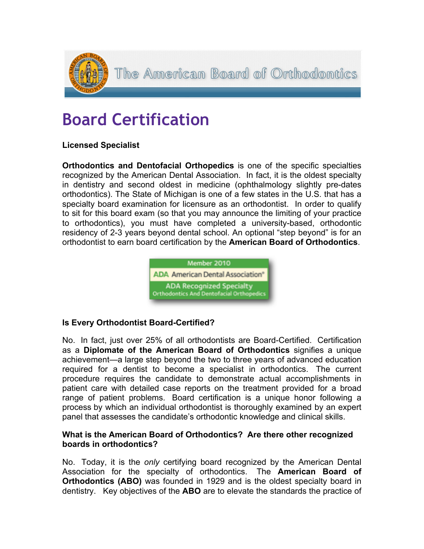

# **Board Certification**

# **Licensed Specialist**

**Orthodontics and Dentofacial Orthopedics** is one of the specific specialties recognized by the American Dental Association. In fact, it is the oldest specialty in dentistry and second oldest in medicine (ophthalmology slightly pre-dates orthodontics). The State of Michigan is one of a few states in the U.S. that has a specialty board examination for licensure as an orthodontist. In order to qualify to sit for this board exam (so that you may announce the limiting of your practice to orthodontics), you must have completed a university-based, orthodontic residency of 2-3 years beyond dental school. An optional "step beyond" is for an orthodontist to earn board certification by the **American Board of Orthodontics**.



## **Is Every Orthodontist Board-Certified?**

No. In fact, just over 25% of all orthodontists are Board-Certified. Certification as a **Diplomate of the American Board of Orthodontics** signifies a unique achievement—a large step beyond the two to three years of advanced education required for a dentist to become a specialist in orthodontics. The current procedure requires the candidate to demonstrate actual accomplishments in patient care with detailed case reports on the treatment provided for a broad range of patient problems. Board certification is a unique honor following a process by which an individual orthodontist is thoroughly examined by an expert panel that assesses the candidate's orthodontic knowledge and clinical skills.

### **What is the American Board of Orthodontics? Are there other recognized boards in orthodontics?**

No. Today, it is the *only* certifying board recognized by the American Dental Association for the specialty of orthodontics. The **American Board of Orthodontics (ABO)** was founded in 1929 and is the oldest specialty board in dentistry. Key objectives of the **ABO** are to elevate the standards the practice of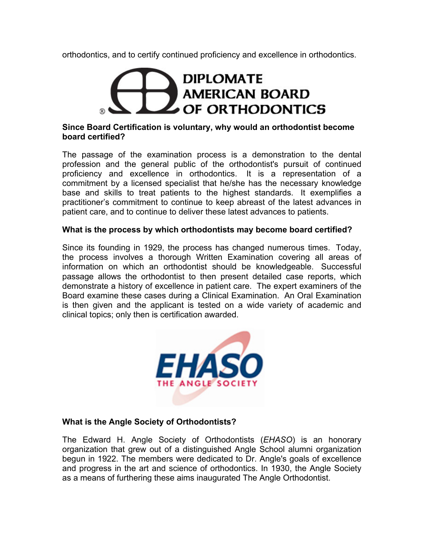orthodontics, and to certify continued proficiency and excellence in orthodontics.

# **DIPLOMATE AMERICAN BOARD** OF ORTHODONTICS

### **Since Board Certification is voluntary, why would an orthodontist become board certified?**

The passage of the examination process is a demonstration to the dental profession and the general public of the orthodontist's pursuit of continued proficiency and excellence in orthodontics. It is a representation of a commitment by a licensed specialist that he/she has the necessary knowledge base and skills to treat patients to the highest standards. It exemplifies a practitioner's commitment to continue to keep abreast of the latest advances in patient care, and to continue to deliver these latest advances to patients.

### **What is the process by which orthodontists may become board certified?**

Since its founding in 1929, the process has changed numerous times. Today, the process involves a thorough Written Examination covering all areas of information on which an orthodontist should be knowledgeable. Successful passage allows the orthodontist to then present detailed case reports, which demonstrate a history of excellence in patient care. The expert examiners of the Board examine these cases during a Clinical Examination. An Oral Examination is then given and the applicant is tested on a wide variety of academic and clinical topics; only then is certification awarded.



## **What is the Angle Society of Orthodontists?**

The Edward H. Angle Society of Orthodontists (*EHASO*) is an honorary organization that grew out of a distinguished Angle School alumni organization begun in 1922. The members were dedicated to Dr. Angle's goals of excellence and progress in the art and science of orthodontics. In 1930, the Angle Society as a means of furthering these aims inaugurated The Angle Orthodontist.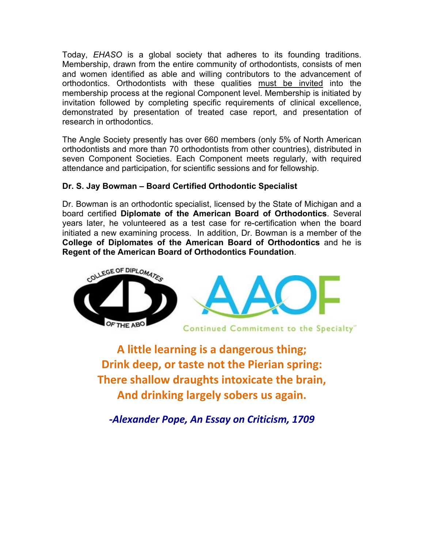Today, *EHASO* is a global society that adheres to its founding traditions. Membership, drawn from the entire community of orthodontists, consists of men and women identified as able and willing contributors to the advancement of orthodontics. Orthodontists with these qualities must be invited into the membership process at the regional Component level. Membership is initiated by invitation followed by completing specific requirements of clinical excellence, demonstrated by presentation of treated case report, and presentation of research in orthodontics.

The Angle Society presently has over 660 members (only 5% of North American orthodontists and more than 70 orthodontists from other countries), distributed in seven Component Societies. Each Component meets regularly, with required attendance and participation, for scientific sessions and for fellowship.

# **Dr. S. Jay Bowman – Board Certified Orthodontic Specialist**

Dr. Bowman is an orthodontic specialist, licensed by the State of Michigan and a board certified **Diplomate of the American Board of Orthodontics**. Several years later, he volunteered as a test case for re-certification when the board initiated a new examining process. In addition, Dr. Bowman is a member of the **College of Diplomates of the American Board of Orthodontics** and he is **Regent of the American Board of Orthodontics Foundation**.



**A little learning is a dangerous thing; Drink deep, or taste not the Pierian spring: There shallow draughts intoxicate the brain, And drinking largely sobers us again.**

*-Alexander Pope, An Essay on Criticism, 1709*